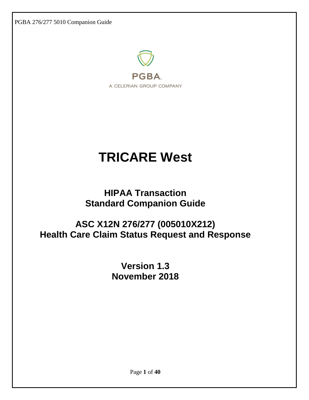PGBA 276/277 5010 Companion Guide



# **TRICARE West**

# **HIPAA Transaction Standard Companion Guide**

# **ASC X12N 276/277 (005010X212) Health Care Claim Status Request and Response**

**Version 1.3 November 2018**

Page **1** of **40**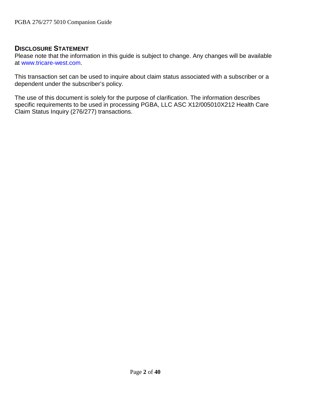# **DISCLOSURE STATEMENT**

Please note that the information in this guide is subject to change. Any changes will be available at [www.tricare-west.com.](https://www.tricare-west.com/)

This transaction set can be used to inquire about claim status associated with a subscriber or a dependent under the subscriber's policy.

The use of this document is solely for the purpose of clarification. The information describes specific requirements to be used in processing PGBA, LLC ASC X12/005010X212 Health Care Claim Status Inquiry (276/277) transactions.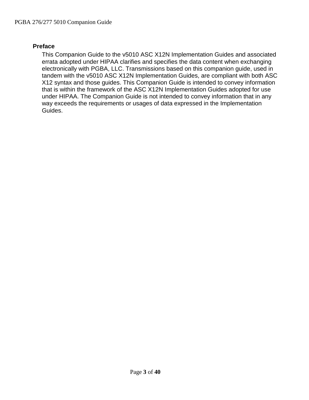#### <span id="page-2-0"></span>**Preface**

This Companion Guide to the v5010 ASC X12N Implementation Guides and associated errata adopted under HIPAA clarifies and specifies the data content when exchanging electronically with PGBA, LLC. Transmissions based on this companion guide, used in tandem with the v5010 ASC X12N Implementation Guides, are compliant with both ASC X12 syntax and those guides. This Companion Guide is intended to convey information that is within the framework of the ASC X12N Implementation Guides adopted for use under HIPAA. The Companion Guide is not intended to convey information that in any way exceeds the requirements or usages of data expressed in the Implementation Guides.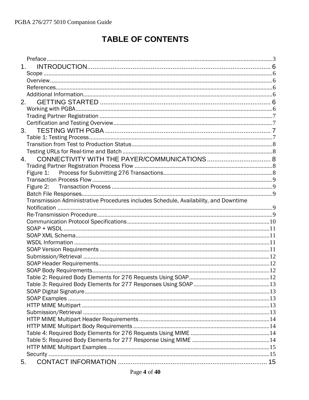# **TABLE OF CONTENTS**

| 1 <sub>1</sub>                                                                       |  |
|--------------------------------------------------------------------------------------|--|
|                                                                                      |  |
|                                                                                      |  |
|                                                                                      |  |
|                                                                                      |  |
| 2.                                                                                   |  |
|                                                                                      |  |
|                                                                                      |  |
|                                                                                      |  |
|                                                                                      |  |
|                                                                                      |  |
|                                                                                      |  |
|                                                                                      |  |
| 4.                                                                                   |  |
|                                                                                      |  |
|                                                                                      |  |
|                                                                                      |  |
| Figure 2:                                                                            |  |
|                                                                                      |  |
| Transmission Administrative Procedures includes Schedule, Availability, and Downtime |  |
|                                                                                      |  |
|                                                                                      |  |
|                                                                                      |  |
|                                                                                      |  |
|                                                                                      |  |
|                                                                                      |  |
|                                                                                      |  |
|                                                                                      |  |
|                                                                                      |  |
|                                                                                      |  |
|                                                                                      |  |
|                                                                                      |  |
|                                                                                      |  |
|                                                                                      |  |
|                                                                                      |  |
|                                                                                      |  |
|                                                                                      |  |
|                                                                                      |  |
|                                                                                      |  |
|                                                                                      |  |
|                                                                                      |  |
|                                                                                      |  |
| 5.                                                                                   |  |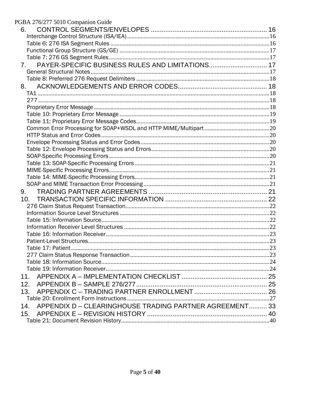| PGBA 276/277 5010 Companion Guide                              |  |
|----------------------------------------------------------------|--|
| 6.                                                             |  |
|                                                                |  |
|                                                                |  |
|                                                                |  |
|                                                                |  |
| PAYER-SPECIFIC BUSINESS RULES AND LIMITATIONS 17<br>7.         |  |
|                                                                |  |
|                                                                |  |
| 8.                                                             |  |
|                                                                |  |
|                                                                |  |
|                                                                |  |
|                                                                |  |
|                                                                |  |
|                                                                |  |
|                                                                |  |
|                                                                |  |
|                                                                |  |
|                                                                |  |
|                                                                |  |
|                                                                |  |
|                                                                |  |
|                                                                |  |
| 9.                                                             |  |
|                                                                |  |
|                                                                |  |
|                                                                |  |
|                                                                |  |
|                                                                |  |
|                                                                |  |
|                                                                |  |
|                                                                |  |
|                                                                |  |
|                                                                |  |
|                                                                |  |
| 11.                                                            |  |
| 12.                                                            |  |
| 13.                                                            |  |
|                                                                |  |
| APPENDIX D - CLEARINGHOUSE TRADING PARTNER AGREEMENT 33<br>14. |  |
| 15.                                                            |  |
|                                                                |  |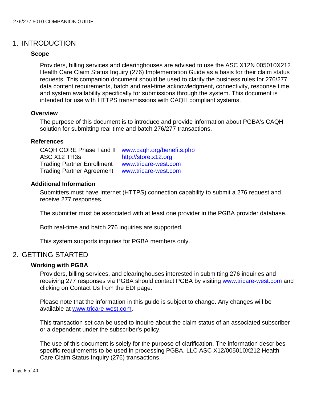# <span id="page-5-1"></span><span id="page-5-0"></span>1. INTRODUCTION

#### **Scope**

Providers, billing services and clearinghouses are advised to use the ASC X12N 005010X212 Health Care Claim Status Inquiry (276) Implementation Guide as a basis for their claim status requests. This companion document should be used to clarify the business rules for 276/277 data content requirements, batch and real-time acknowledgment, connectivity, response time, and system availability specifically for submissions through the system. This document is intended for use with HTTPS transmissions with CAQH compliant systems.

#### <span id="page-5-2"></span>**Overview**

The purpose of this document is to introduce and provide information about PGBA's CAQH solution for submitting real-time and batch 276/277 transactions.

#### <span id="page-5-3"></span>**References**

CAQH CORE Phase I and II [www.caqh.org/benefits.php](http://www.caqh.org/benefits.php) ASC X12 TR3s [http://store.x12.org](http://store.x12.org/) Trading Partner Enrollment [www.tricare-west.com](https://www.tricare-west.com/) Trading Partner Agreement [www.tricare-west.com](https://www.tricare-west.com/)

#### <span id="page-5-4"></span>**Additional Information**

Submitters must have Internet (HTTPS) connection capability to submit a 276 request and receive 277 responses.

The submitter must be associated with at least one provider in the PGBA provider database.

Both real-time and batch 276 inquiries are supported.

This system supports inquiries for PGBA members only.

#### <span id="page-5-6"></span><span id="page-5-5"></span>2. GETTING STARTED

#### **Working with PGBA**

Providers, billing services, and clearinghouses interested in submitting 276 inquiries and receiving 277 responses via PGBA should contact PGBA by visiting [www.tricare-west.com](https://www.tricare-west.com/) and clicking on Contact Us from the EDI page.

Please note that the information in this guide is subject to change. Any changes will be available at [www.tricare-west.com.](https://www.tricare-west.com/)

This transaction set can be used to inquire about the claim status of an associated subscriber or a dependent under the subscriber's policy.

The use of this document is solely for the purpose of clarification. The information describes specific requirements to be used in processing PGBA, LLC ASC X12/005010X212 Health Care Claim Status Inquiry (276) transactions.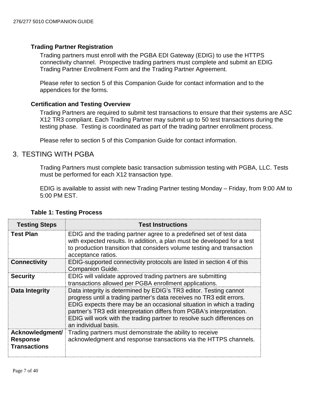#### <span id="page-6-0"></span>**Trading Partner Registration**

Trading partners must enroll with the PGBA EDI Gateway (EDIG) to use the HTTPS connectivity channel. Prospective trading partners must complete and submit an EDIG Trading Partner Enrollment Form and the Trading Partner Agreement.

Please refer to section 5 of this Companion Guide for contact information and to the appendices for the forms.

#### <span id="page-6-1"></span>**Certification and Testing Overview**

Trading Partners are required to submit test transactions to ensure that their systems are ASC X12 TR3 compliant. Each Trading Partner may submit up to 50 test transactions during the testing phase. Testing is coordinated as part of the trading partner enrollment process.

Please refer to section 5 of this Companion Guide for contact information.

# <span id="page-6-2"></span>3. TESTING WITH PGBA

Trading Partners must complete basic transaction submission testing with PGBA, LLC. Tests must be performed for each X12 transaction type.

EDIG is available to assist with new Trading Partner testing Monday – Friday, from 9:00 AM to 5:00 PM EST.

<span id="page-6-3"></span>

| <b>Testing Steps</b>                                      | <b>Test Instructions</b>                                                                                                                                                                                                                                                                                                                                                                     |
|-----------------------------------------------------------|----------------------------------------------------------------------------------------------------------------------------------------------------------------------------------------------------------------------------------------------------------------------------------------------------------------------------------------------------------------------------------------------|
| <b>Test Plan</b>                                          | EDIG and the trading partner agree to a predefined set of test data<br>with expected results. In addition, a plan must be developed for a test<br>to production transition that considers volume testing and transaction<br>acceptance ratios.                                                                                                                                               |
| <b>Connectivity</b>                                       | EDIG-supported connectivity protocols are listed in section 4 of this<br><b>Companion Guide.</b>                                                                                                                                                                                                                                                                                             |
| <b>Security</b>                                           | EDIG will validate approved trading partners are submitting<br>transactions allowed per PGBA enrollment applications.                                                                                                                                                                                                                                                                        |
| Data Integrity                                            | Data integrity is determined by EDIG's TR3 editor. Testing cannot<br>progress until a trading partner's data receives no TR3 edit errors.<br>EDIG expects there may be an occasional situation in which a trading<br>partner's TR3 edit interpretation differs from PGBA's interpretation.<br>EDIG will work with the trading partner to resolve such differences on<br>an individual basis. |
| Acknowledgment/<br><b>Response</b><br><b>Transactions</b> | Trading partners must demonstrate the ability to receive<br>acknowledgment and response transactions via the HTTPS channels.                                                                                                                                                                                                                                                                 |

#### **Table 1: Testing Process**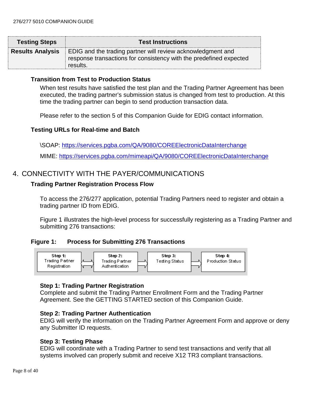| <b>Testing Steps</b>    | <b>Test Instructions</b>                                                                                                                             |
|-------------------------|------------------------------------------------------------------------------------------------------------------------------------------------------|
| <b>Results Analysis</b> | <b>EDIG</b> and the trading partner will review acknowledgment and<br>response transactions for consistency with the predefined expected<br>results. |

#### <span id="page-7-0"></span>**Transition from Test to Production Status**

When test results have satisfied the test plan and the Trading Partner Agreement has been executed, the trading partner's submission status is changed from test to production. At this time the trading partner can begin to send production transaction data.

Please refer to the section 5 of this Companion Guide for EDIG contact information.

#### <span id="page-7-1"></span>**Testing URLs for Real-time and Batch**

\SOAP: <https://services.pgba.com/QA/9080/COREElectronicDataInterchange>

MIME: <https://services.pgba.com/mimeapi/QA/9080/COREElectronicDataInterchange>

# <span id="page-7-3"></span><span id="page-7-2"></span>4. CONNECTIVITY WITH THE PAYER/COMMUNICATIONS

#### **Trading Partner Registration Process Flow**

To access the 276/277 application, potential Trading Partners need to register and obtain a trading partner ID from EDIG.

Figure 1 illustrates the high-level process for successfully registering as a Trading Partner and submitting 276 transactions:

#### <span id="page-7-4"></span>**Figure 1: Process for Submitting 276 Transactions**



#### **Step 1: Trading Partner Registration**

Complete and submit the Trading Partner Enrollment Form and the Trading Partner Agreement. See the GETTING STARTED section of this Companion Guide.

#### **Step 2: Trading Partner Authentication**

EDIG will verify the information on the Trading Partner Agreement Form and approve or deny any Submitter ID requests.

#### **Step 3: Testing Phase**

EDIG will coordinate with a Trading Partner to send test transactions and verify that all systems involved can properly submit and receive X12 TR3 compliant transactions.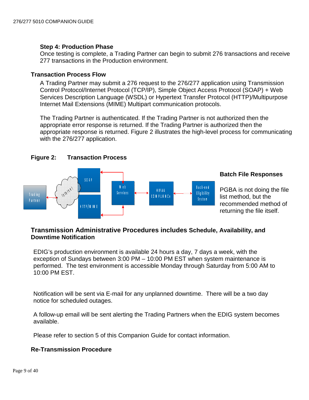#### **Step 4: Production Phase**

Once testing is complete, a Trading Partner can begin to submit 276 transactions and receive 277 transactions in the Production environment.

#### <span id="page-8-0"></span>**Transaction Process Flow**

A Trading Partner may submit a 276 request to the 276/277 application using Transmission Control Protocol/Internet Protocol (TCP/IP), Simple Object Access Protocol (SOAP) + Web Services Description Language (WSDL) or Hypertext Transfer Protocol (HTTP)/Multipurpose Internet Mail Extensions (MIME) Multipart communication protocols.

The Trading Partner is authenticated. If the Trading Partner is not authorized then the appropriate error response is returned. If the Trading Partner is authorized then the appropriate response is returned. Figure 2 illustrates the high-level process for communicating with the 276/277 application.

<span id="page-8-1"></span>

#### <span id="page-8-2"></span>**Batch File Responses**

PGBA is not doing the file list method, but the recommended method of returning the file itself.

#### <span id="page-8-3"></span>**Transmission Administrative Procedures includes Schedule, Availability, and Downtime Notification**

EDIG's production environment is available 24 hours a day, 7 days a week, with the exception of Sundays between 3:00 PM – 10:00 PM EST when system maintenance is performed. The test environment is accessible Monday through Saturday from 5:00 AM to 10:00 PM EST.

Notification will be sent via E-mail for any unplanned downtime. There will be a two day notice for scheduled outages.

A follow-up email will be sent alerting the Trading Partners when the EDIG system becomes available.

Please refer to section 5 of this Companion Guide for contact information.

#### <span id="page-8-4"></span>**Re-Transmission Procedure**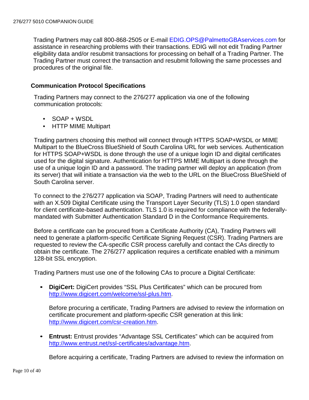Trading Partners may call 800-868-2505 or E-mail [EDIG.OPS@PalmettoGBAservices.com](mailto:EDIG.OPS@PalmettoGBAservices.com) for assistance in researching problems with their transactions. EDIG will not edit Trading Partner eligibility data and/or resubmit transactions for processing on behalf of a Trading Partner. The Trading Partner must correct the transaction and resubmit following the same processes and procedures of the original file.

#### <span id="page-9-0"></span>**Communication Protocol Specifications**

Trading Partners may connect to the 276/277 application via one of the following communication protocols:

- SOAP + WSDL
- HTTP MIME Multipart

Trading partners choosing this method will connect through HTTPS SOAP+WSDL or MIME Multipart to the BlueCross BlueShield of South Carolina URL for web services. Authentication for HTTPS SOAP+WSDL is done through the use of a unique login ID and digital certificates used for the digital signature. Authentication for HTTPS MIME Multipart is done through the use of a unique login ID and a password. The trading partner will deploy an application (from its server) that will initiate a transaction via the web to the URL on the BlueCross BlueShield of South Carolina server.

To connect to the 276/277 application via SOAP, Trading Partners will need to authenticate with an X.509 Digital Certificate using the Transport Layer Security (TLS) 1.0 open standard for client certificate-based authentication. TLS 1.0 is required for compliance with the federallymandated with Submitter Authentication Standard D in the Conformance Requirements.

Before a certificate can be procured from a Certificate Authority (CA), Trading Partners will need to generate a platform-specific Certificate Signing Request (CSR). Trading Partners are requested to review the CA-specific CSR process carefully and contact the CAs directly to obtain the certificate. The 276/277 application requires a certificate enabled with a minimum 128-bit SSL encryption.

Trading Partners must use one of the following CAs to procure a Digital Certificate:

• **DigiCert:** DigiCert provides "SSL Plus Certificates" which can be procured from [http://www.digicert.com/welcome/ssl-plus.htm.](http://www.digicert.com/welcome/ssl-plus.htm)

Before procuring a certificate, Trading Partners are advised to review the information on certificate procurement and platform-specific CSR generation at this link: [http://www.digicert.com/csr-creation.htm.](http://www.digicert.com/csr-creation.htm)

• **Entrust:** Entrust provides "Advantage SSL Certificates" which can be acquired from [http://www.entrust.net/ssl-certificates/advantage.htm.](http://www.entrust.net/ssl-certificates/advantage.htm)

Before acquiring a certificate, Trading Partners are advised to review the information on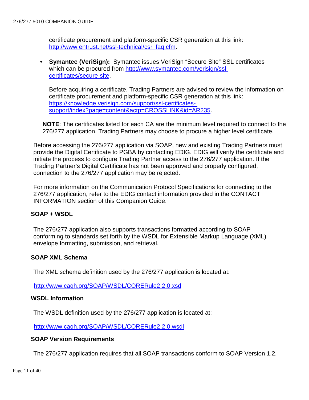certificate procurement and platform-specific CSR generation at this link: [http://www.entrust.net/ssl-technical/csr\\_faq.cfm.](http://www.entrust.net/ssl-technical/csr_faq.cfm)

• **Symantec (VeriSign):** Symantec issues VeriSign "Secure Site" SSL certificates which can be procured from http://www.symantec.com/verisign/ssl[certificates/secure-site.](http://www.symantec.com/verisign/ssl-certificates/secure-site)

Before acquiring a certificate, Trading Partners are advised to review the information on certificate procurement and platform-specific CSR generation at this link: [https://knowledge.verisign.com/support/ssl-certificates](https://knowledge.verisign.com/support/ssl-certificates-support/index?page=content&actp=CROSSLINK&id=AR235)[support/index?page=content&actp=CROSSLINK&id=AR235.](https://knowledge.verisign.com/support/ssl-certificates-support/index?page=content&actp=CROSSLINK&id=AR235)

**NOTE**: The certificates listed for each CA are the minimum level required to connect to the 276/277 application. Trading Partners may choose to procure a higher level certificate.

Before accessing the 276/277 application via SOAP, new and existing Trading Partners must provide the Digital Certificate to PGBA by contacting EDIG. EDIG will verify the certificate and initiate the process to configure Trading Partner access to the 276/277 application. If the Trading Partner's Digital Certificate has not been approved and properly configured, connection to the 276/277 application may be rejected.

For more information on the Communication Protocol Specifications for connecting to the 276/277 application, refer to the EDIG contact information provided in the CONTACT INFORMATION section of this Companion Guide.

#### <span id="page-10-0"></span>**SOAP + WSDL**

The 276/277 application also supports transactions formatted according to SOAP conforming to standards set forth by the WSDL for Extensible Markup Language (XML) envelope formatting, submission, and retrieval.

#### <span id="page-10-1"></span>**SOAP XML Schema**

The XML schema definition used by the 276/277 application is located at:

<http://www.caqh.org/SOAP/WSDL/CORERule2.2.0.xsd>

#### <span id="page-10-2"></span>**WSDL Information**

The WSDL definition used by the 276/277 application is located at:

<http://www.caqh.org/SOAP/WSDL/CORERule2.2.0.wsdl>

#### <span id="page-10-3"></span>**SOAP Version Requirements**

The 276/277 application requires that all SOAP transactions conform to SOAP Version 1.2.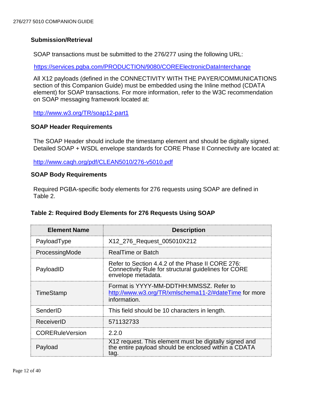#### <span id="page-11-0"></span>**Submission/Retrieval**

SOAP transactions must be submitted to the 276/277 using the following URL:

<https://services.pgba.com/PRODUCTION/9080/COREElectronicDataInterchange>

All X12 payloads (defined in the CONNECTIVITY WITH THE PAYER/COMMUNICATIONS section of this Companion Guide) must be embedded using the Inline method (CDATA element) for SOAP transactions. For more information, refer to the W3C recommendation on SOAP messaging framework located at:

<http://www.w3.org/TR/soap12-part1>

#### <span id="page-11-1"></span>**SOAP Header Requirements**

The SOAP Header should include the timestamp element and should be digitally signed. Detailed SOAP + WSDL envelope standards for CORE Phase II Connectivity are located at:

[http://www.caqh.org/pdf/CLEAN5010/276-v5010.pdf](http://www.caqh.org/pdf/CLEAN5010/270-v5010.pdf)

#### <span id="page-11-2"></span>**SOAP Body Requirements**

Required PGBA-specific body elements for 276 requests using SOAP are defined in Table 2.

#### <span id="page-11-3"></span>**Table 2: Required Body Elements for 276 Requests Using SOAP**

| <b>Element Name</b>    | <b>Description</b>                                                                                                             |
|------------------------|--------------------------------------------------------------------------------------------------------------------------------|
| PayloadType            | X12_276_Request_005010X212                                                                                                     |
| ProcessingMode         | <b>RealTime or Batch</b>                                                                                                       |
| PayloadID              | Refer to Section 4.4.2 of the Phase II CORE 276:<br>Connectivity Rule for structural guidelines for CORE<br>envelope metadata. |
| TimeStamp              | Format is YYYY-MM-DDTHH:MMSSZ. Refer to<br>http://www.w3.org/TR/xmlschema11-2/#dateTime for more<br>information.               |
| SenderID               | This field should be 10 characters in length.                                                                                  |
| ReceiverID             | 571132733                                                                                                                      |
| <b>CORERuleVersion</b> | 2.2.0                                                                                                                          |
| Payload                | X12 request. This element must be digitally signed and<br>the entire payload should be enclosed within a CDATA<br>tag.         |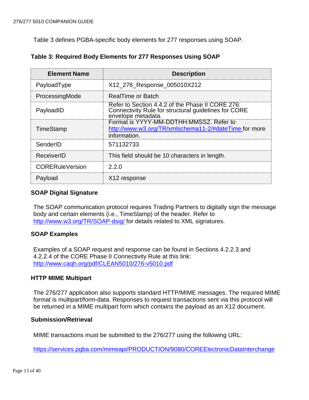Table 3 defines PGBA-specific body elements for 277 responses using SOAP.

| <b>Element Name</b>    | <b>Description</b>                                                                                                             |
|------------------------|--------------------------------------------------------------------------------------------------------------------------------|
| PayloadType            | X12_276_Response_005010X212                                                                                                    |
| ProcessingMode         | RealTime or Batch                                                                                                              |
| PayloadID              | Refer to Section 4.4.2 of the Phase II CORE 276:<br>Connectivity Rule for structural guidelines for CORE<br>envelope metadata. |
| TimeStamp              | Format is YYYY-MM-DDTHH:MMSSZ, Refer to<br>http://www.w3.org/TR/xmlschema11-2/#dateTime for more<br>information.               |
| SenderID               | 571132733                                                                                                                      |
| ReceiverID             | This field should be 10 characters in length.                                                                                  |
| <b>CORERuleVersion</b> | 2.2.0                                                                                                                          |
| Payload                | X <sub>12</sub> response                                                                                                       |

<span id="page-12-0"></span>

|  | Table 3: Required Body Elements for 277 Responses Using SOAP |  |
|--|--------------------------------------------------------------|--|
|--|--------------------------------------------------------------|--|

#### <span id="page-12-1"></span>**SOAP Digital Signature**

The SOAP communication protocol requires Trading Partners to digitally sign the message body and certain elements (i.e., TimeStamp) of the header. Refer to [http://www.w3.org/TR/SOAP-dsig/ f](http://www.w3.org/TR/SOAP-dsig/)or details related to XML signatures.

#### <span id="page-12-2"></span>**SOAP Examples**

Examples of a SOAP request and response can be found in Sections 4.2.2.3 and 4.2.2.4 of the CORE Phase II Connectivity Rule at this link: [http://www.caqh.org/pdf/CLEAN5010/276-v5010.pdf](http://www.caqh.org/pdf/CLEAN5010/270-v5010.pdf)

#### <span id="page-12-3"></span>**HTTP MIME Multipart**

The 276/277 application also supports standard HTTP/MIME messages. The required MIME format is multipart/form-data. Responses to request transactions sent via this protocol will be returned in a MIME multipart form which contains the payload as an X12 document.

#### <span id="page-12-4"></span>**Submission/Retrieval**

MIME transactions must be submitted to the 276/277 using the following URL:

<https://services.pgba.com/mimeapi/PRODUCTION/9080/COREElectronicDataInterchange>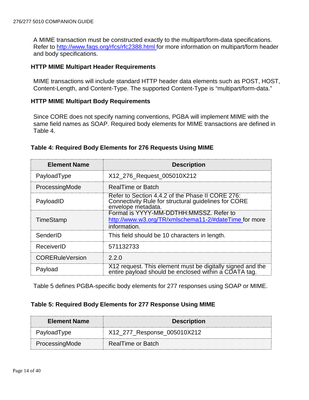A MIME transaction must be constructed exactly to the multipart/form-data specifications. Refer to [http://www.faqs.org/rfcs/rfc2388.html f](http://www.faqs.org/rfcs/rfc2388.html)or more information on multipart/form header and body specifications.

#### <span id="page-13-0"></span>**HTTP MIME Multipart Header Requirements**

MIME transactions will include standard HTTP header data elements such as POST, HOST, Content-Length, and Content-Type. The supported Content-Type is "multipart/form-data."

#### <span id="page-13-1"></span>**HTTP MIME Multipart Body Requirements**

Since CORE does not specify naming conventions, PGBA will implement MIME with the same field names as SOAP. Required body elements for MIME transactions are defined in Table 4.

#### <span id="page-13-2"></span>**Table 4: Required Body Elements for 276 Requests Using MIME**

| <b>Element Name</b>    | <b>Description</b>                                                                                                             |
|------------------------|--------------------------------------------------------------------------------------------------------------------------------|
| PayloadType            | X12_276_Request_005010X212                                                                                                     |
| ProcessingMode         | <b>RealTime or Batch</b>                                                                                                       |
| PayloadID              | Refer to Section 4.4.2 of the Phase II CORE 276:<br>Connectivity Rule for structural guidelines for CORE<br>envelope metadata. |
| TimeStamp              | Format is YYYY-MM-DDTHH:MMSSZ, Refer to<br>http://www.w3.org/TR/xmlschema11-2/#dateTime for more<br>information.               |
| SenderID               | This field should be 10 characters in length.                                                                                  |
| ReceiverID             | 571132733                                                                                                                      |
| <b>CORERuleVersion</b> | 220                                                                                                                            |
| Payload                | X12 request. This element must be digitally signed and the<br>entire payload should be enclosed within a CDATA taq.            |

Table 5 defines PGBA-specific body elements for 277 responses using SOAP or MIME.

#### <span id="page-13-3"></span>**Table 5: Required Body Elements for 277 Response Using MIME**

| <b>Element Name</b> | <b>Description</b>          |
|---------------------|-----------------------------|
| PayloadType         | X12_277_Response_005010X212 |
| ProcessingMode      | RealTime or Batch           |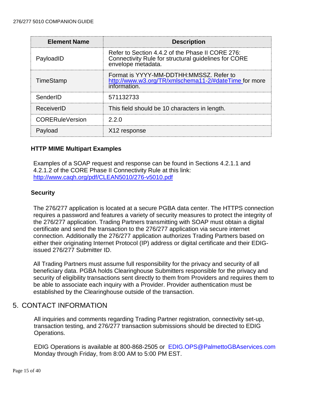| <b>Element Name</b>    | <b>Description</b>                                                                                                             |
|------------------------|--------------------------------------------------------------------------------------------------------------------------------|
| PayloadID              | Refer to Section 4.4.2 of the Phase II CORE 276:<br>Connectivity Rule for structural guidelines for CORE<br>envelope metadata. |
| TimeStamp              | Format is YYYY-MM-DDTHH:MMSSZ, Refer to<br>http://www.w3.org/TR/xmlschema11-2/#dateTime for more<br>information.               |
| SenderID               | 571132733                                                                                                                      |
| ReceiverID             | This field should be 10 characters in length.                                                                                  |
| <b>CORERuleVersion</b> | 220                                                                                                                            |
| Pavload                | X12 response                                                                                                                   |

#### <span id="page-14-0"></span>**HTTP MIME Multipart Examples**

Examples of a SOAP request and response can be found in Sections 4.2.1.1 and 4.2.1.2 of the CORE Phase II Connectivity Rule at this link: [http://www.caqh.org/pdf/CLEAN5010/276-v5010.pdf](http://www.caqh.org/pdf/CLEAN5010/270-v5010.pdf)

#### <span id="page-14-1"></span>**Security**

The 276/277 application is located at a secure PGBA data center. The HTTPS connection requires a password and features a variety of security measures to protect the integrity of the 276/277 application. Trading Partners transmitting with SOAP must obtain a digital certificate and send the transaction to the 276/277 application via secure internet connection. Additionally the 276/277 application authorizes Trading Partners based on either their originating Internet Protocol (IP) address or digital certificate and their EDIGissued 276/277 Submitter ID.

All Trading Partners must assume full responsibility for the privacy and security of all beneficiary data. PGBA holds Clearinghouse Submitters responsible for the privacy and security of eligibility transactions sent directly to them from Providers and requires them to be able to associate each inquiry with a Provider. Provider authentication must be established by the Clearinghouse outside of the transaction.

#### <span id="page-14-2"></span>5. CONTACT INFORMATION

All inquiries and comments regarding Trading Partner registration, connectivity set-up, transaction testing, and 276/277 transaction submissions should be directed to EDIG Operations.

EDIG Operations is available at 800-868-2505 or [EDIG.OPS@PalmettoGBAservices.com](mailto:EDIG.OPS@PalmettoGBAservices.com) Monday through Friday, from 8:00 AM to 5:00 PM EST.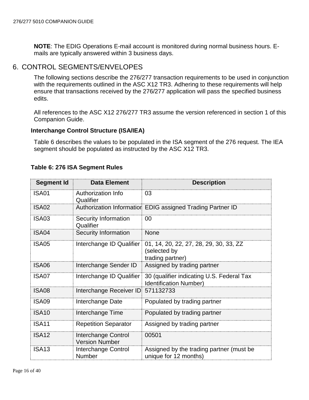**NOTE**: The EDIG Operations E-mail account is monitored during normal business hours. Emails are typically answered within 3 business days.

# <span id="page-15-0"></span>6. CONTROL SEGMENTS/ENVELOPES

The following sections describe the 276/277 transaction requirements to be used in conjunction with the requirements outlined in the ASC X12 TR3. Adhering to these requirements will help ensure that transactions received by the 276/277 application will pass the specified business edits.

All references to the ASC X12 276/277 TR3 assume the version referenced in section 1 of this Companion Guide.

#### <span id="page-15-1"></span>**Interchange Control Structure (ISA/IEA)**

Table 6 describes the values to be populated in the ISA segment of the 276 request. The IEA segment should be populated as instructed by the ASC X12 TR3.

<span id="page-15-2"></span>

|  |  |  |  | Table 6: 276 ISA Segment Rules |  |
|--|--|--|--|--------------------------------|--|
|--|--|--|--|--------------------------------|--|

| <b>Segment Id</b> | <b>Data Element</b>                          | <b>Description</b>                                                         |
|-------------------|----------------------------------------------|----------------------------------------------------------------------------|
| <b>ISA01</b>      | Authorization Info<br>Qualifier              | 03                                                                         |
| <b>ISA02</b>      |                                              | Authorization Information EDIG assigned Trading Partner ID                 |
| <b>ISA03</b>      | <b>Security Information</b><br>Qualifier     | 00                                                                         |
| ISA04             | <b>Security Information</b>                  | <b>None</b>                                                                |
| ISA05             | Interchange ID Qualifier                     | 01, 14, 20, 22, 27, 28, 29, 30, 33, ZZ<br>(selected by<br>trading partner) |
| <b>ISA06</b>      | Interchange Sender ID                        | Assigned by trading partner                                                |
| ISA07             | Interchange ID Qualifier                     | 30 (qualifier indicating U.S. Federal Tax<br><b>Identification Number)</b> |
| <b>ISA08</b>      | Interchange Receiver ID 571132733            |                                                                            |
| <b>ISA09</b>      | Interchange Date                             | Populated by trading partner                                               |
| <b>ISA10</b>      | Interchange Time                             | Populated by trading partner                                               |
| <b>ISA11</b>      | <b>Repetition Separator</b>                  | Assigned by trading partner                                                |
| <b>ISA12</b>      | Interchange Control<br><b>Version Number</b> | 00501                                                                      |
| <b>ISA13</b>      | Interchange Control<br><b>Number</b>         | Assigned by the trading partner (must be<br>unique for 12 months)          |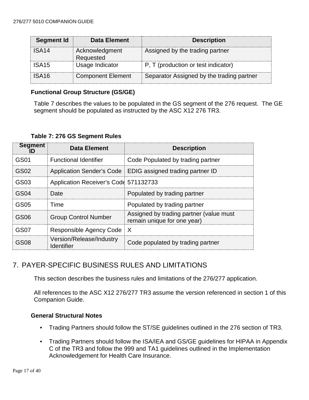| <b>Segment Id</b> | <b>Data Element</b>         | <b>Description</b>                        |
|-------------------|-----------------------------|-------------------------------------------|
| ISA <sub>14</sub> | Acknowledgment<br>Requested | Assigned by the trading partner           |
| ISA <sub>15</sub> | Usage Indicator             | P, T (production or test indicator)       |
| ISA <sub>16</sub> | <b>Component Element</b>    | Separator Assigned by the trading partner |

#### <span id="page-16-0"></span>**Functional Group Structure (GS/GE)**

Table 7 describes the values to be populated in the GS segment of the 276 request. The GE segment should be populated as instructed by the ASC X12 276 TR3.

|  |  |  |  | Table 7: 276 GS Segment Rules |  |
|--|--|--|--|-------------------------------|--|
|--|--|--|--|-------------------------------|--|

<span id="page-16-1"></span>

| <b>Segment</b>   | <b>Data Element</b>                    | <b>Description</b>                                                     |  |  |
|------------------|----------------------------------------|------------------------------------------------------------------------|--|--|
| GS01             | <b>Functional Identifier</b>           | Code Populated by trading partner                                      |  |  |
| GS02             |                                        | Application Sender's Code   EDIG assigned trading partner ID           |  |  |
| GS03             | Application Receiver's Code 571132733  |                                                                        |  |  |
| GS <sub>04</sub> | <b>Date</b>                            | Populated by trading partner                                           |  |  |
| GS05             | Time                                   | Populated by trading partner                                           |  |  |
| GS06             | <b>Group Control Number</b>            | Assigned by trading partner (value must<br>remain unique for one year) |  |  |
| GS07             | Responsible Agency Code   X            |                                                                        |  |  |
| GSO8             | Version/Release/Industry<br>Identifier | Code populated by trading partner                                      |  |  |

# <span id="page-16-2"></span>7. PAYER-SPECIFIC BUSINESS RULES AND LIMITATIONS

This section describes the business rules and limitations of the 276/277 application.

All references to the ASC X12 276/277 TR3 assume the version referenced in section 1 of this Companion Guide.

#### <span id="page-16-3"></span>**General Structural Notes**

- Trading Partners should follow the ST/SE guidelines outlined in the 276 section of TR3.
- Trading Partners should follow the ISA/IEA and GS/GE guidelines for HIPAA in Appendix C of the TR3 and follow the 999 and TA1 guidelines outlined in the Implementation Acknowledgement for Health Care Insurance.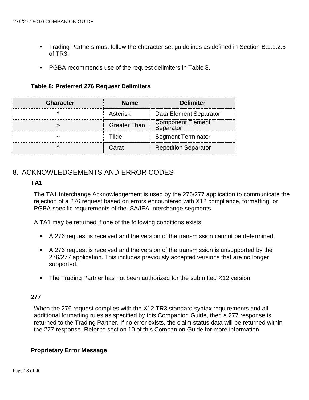- Trading Partners must follow the character set guidelines as defined in Section B.1.1.2.5 of TR3.
- PGBA recommends use of the request delimiters in Table 8.

**Table 8: Preferred 276 Request Delimiters**

<span id="page-17-0"></span>

| <b>Character</b> | <b>Name</b>         | <b>Delimiter</b>                      |
|------------------|---------------------|---------------------------------------|
|                  | Asterisk            | Data Element Separator                |
|                  | <b>Greater Than</b> | <b>Component Element</b><br>Separator |
|                  | ilde                | <b>Segment Terminator</b>             |
|                  | Carat               | <b>Repetition Separator</b>           |

# <span id="page-17-2"></span><span id="page-17-1"></span>8. ACKNOWLEDGEMENTS AND ERROR CODES

#### **TA1**

The TA1 Interchange Acknowledgement is used by the 276/277 application to communicate the rejection of a 276 request based on errors encountered with X12 compliance, formatting, or PGBA specific requirements of the ISA/IEA Interchange segments.

A TA1 may be returned if one of the following conditions exists:

- A 276 request is received and the version of the transmission cannot be determined.
- A 276 request is received and the version of the transmission is unsupported by the 276/277 application. This includes previously accepted versions that are no longer supported.
- The Trading Partner has not been authorized for the submitted X12 version.

#### <span id="page-17-3"></span>**277**

When the 276 request complies with the X12 TR3 standard syntax requirements and all additional formatting rules as specified by this Companion Guide, then a 277 response is returned to the Trading Partner. If no error exists, the claim status data will be returned within the 277 response. Refer to section 10 of this Companion Guide for more information.

#### <span id="page-17-4"></span>**Proprietary Error Message**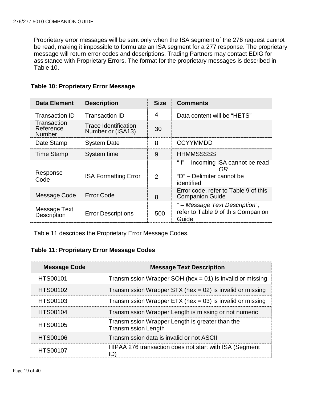Proprietary error messages will be sent only when the ISA segment of the 276 request cannot be read, making it impossible to formulate an ISA segment for a 277 response. The proprietary message will return error codes and descriptions. Trading Partners may contact EDIG for assistance with Proprietary Errors. The format for the proprietary messages is described in Table 10.

| <b>Data Element</b>                | <b>Description</b>                               | <b>Size</b>   | <b>Comments</b>                                                                     |
|------------------------------------|--------------------------------------------------|---------------|-------------------------------------------------------------------------------------|
| <b>Transaction ID</b>              | Transaction ID                                   | 4             | Data content will be "HETS"                                                         |
| Transaction<br>Reference<br>Number | <b>Trace Identification</b><br>Number or (ISA13) | 30            |                                                                                     |
| Date Stamp                         | <b>System Date</b>                               | 8             | <b>CCYYMMDD</b>                                                                     |
| <b>Time Stamp</b>                  | System time                                      | 9             | <b>HHMMSSSSS</b>                                                                    |
| Response<br>Code                   | <b>ISA Formatting Error</b>                      | $\mathcal{P}$ | "I" – Incoming ISA cannot be read<br>OR)<br>"D" – Delimiter cannot be<br>identified |
| Message Code                       | <b>Error Code</b>                                | 8             | Error code, refer to Table 9 of this<br><b>Companion Guide</b>                      |
| Message Text<br><b>Description</b> | <b>Error Descriptions</b>                        | 500           | " – Message Text Description",<br>refer to Table 9 of this Companion<br>Guide       |

#### <span id="page-18-0"></span>**Table 10: Proprietary Error Message**

Table 11 describes the Proprietary Error Message Codes.

### <span id="page-18-1"></span>**Table 11: Proprietary Error Message Codes**

| <b>Message Code</b> | <b>Message Text Description</b>                                               |  |  |
|---------------------|-------------------------------------------------------------------------------|--|--|
| <b>HTS00101</b>     | Transmission Wrapper SOH (hex = $01$ ) is invalid or missing                  |  |  |
| <b>HTS00102</b>     | Transmission Wrapper STX (hex = $02$ ) is invalid or missing                  |  |  |
| <b>HTS00103</b>     | Transmission Wrapper ETX (hex = $03$ ) is invalid or missing                  |  |  |
| <b>HTS00104</b>     | Transmission Wrapper Length is missing or not numeric                         |  |  |
| <b>HTS00105</b>     | Transmission Wrapper Length is greater than the<br><b>Transmission Length</b> |  |  |
| <b>HTS00106</b>     | Transmission data is invalid or not ASCII                                     |  |  |
| <b>HTS00107</b>     | HIPAA 276 transaction does not start with ISA (Segment                        |  |  |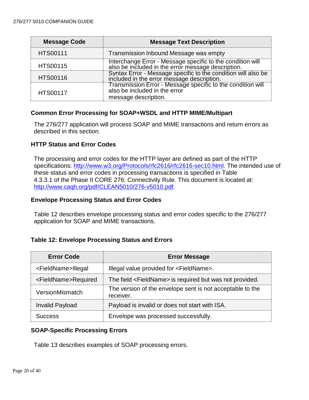| <b>Message Code</b> | <b>Message Text Description</b>                                                                                      |
|---------------------|----------------------------------------------------------------------------------------------------------------------|
| <b>HTS00111</b>     | Transmission Inbound Message was empty                                                                               |
| <b>HTS00115</b>     | Interchange Error - Message specific to the condition will also be included in the error message description.        |
| <b>HTS00116</b>     | Syntax Error - Message specific to the condition will also be<br>included in the error message description.          |
| <b>HTS00117</b>     | Transmission Error - Message specific to the condition will<br>also be included in the error<br>message description. |

#### <span id="page-19-0"></span>**Common Error Processing for SOAP+WSDL and HTTP MIME/Multipart**

The 276/277 application will process SOAP and MIME transactions and return errors as described in this section.

#### <span id="page-19-1"></span>**HTTP Status and Error Codes**

The processing and error codes for the HTTP layer are defined as part of the HTTP specifications: [http://www.w3.org/Protocols/rfc2616/rfc2616-sec10.html.](http://www.w3.org/Protocols/rfc2616/rfc2616-sec10.html) The intended use of these status and error codes in processing transactions is specified in Table 4.3.3.1 of the Phase II CORE 276: Connectivity Rule. This document is located at: [http://www.caqh.org/pdf/CLEAN5010/276-v5010.pdf.](http://www.caqh.org/pdf/CLEAN5010/270-v5010.pdf)

#### <span id="page-19-2"></span>**Envelope Processing Status and Error Codes**

Table 12 describes envelope processing status and error codes specific to the 276/277 application for SOAP and MIME transactions.

#### <span id="page-19-3"></span>**Table 12: Envelope Processing Status and Errors**

| <b>Error Code</b>               | <b>Error Message</b>                                                   |  |  |
|---------------------------------|------------------------------------------------------------------------|--|--|
| <fieldname>Illegal</fieldname>  | Illegal value provided for <fieldname>.</fieldname>                    |  |  |
| <fieldname>Required</fieldname> | The field <fieldname> is required but was not provided.</fieldname>    |  |  |
| VersionMismatch                 | The version of the envelope sent is not acceptable to the<br>receiver. |  |  |
| <b>Invalid Payload</b>          | Payload is invalid or does not start with ISA.                         |  |  |
| <b>ICCASS</b>                   | Envelope was processed successfully.                                   |  |  |

#### <span id="page-19-4"></span>**SOAP-Specific Processing Errors**

Table 13 describes examples of SOAP processing errors.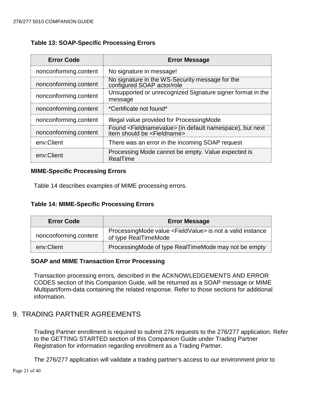#### <span id="page-20-0"></span>**Table 13: SOAP-Specific Processing Errors**

| <b>Error Code</b>     | <b>Error Message</b>                                                                                                |  |  |
|-----------------------|---------------------------------------------------------------------------------------------------------------------|--|--|
| nonconforming.content | No signature in message!                                                                                            |  |  |
| nonconforming.content | No signature in the WS-Security message for the<br>configured SOAP actor/role                                       |  |  |
| nonconforming.content | Unsupported or unrecognized Signature signer format in the<br>message                                               |  |  |
| nonconforming.content | *Certificate not found*                                                                                             |  |  |
| nonconforming.content | Illegal value provided for ProcessingMode                                                                           |  |  |
| nonconforming.content | Found <fieldnamevalue> (in default namespace), but next<br/>item should be <fieldname></fieldname></fieldnamevalue> |  |  |
| env:Client            | There was an error in the incoming SOAP request                                                                     |  |  |
| env:Client            | Processing Mode cannot be empty. Value expected is<br>RealTime                                                      |  |  |

#### <span id="page-20-1"></span>**MIME-Specific Processing Errors**

Table 14 describes examples of MIME processing errors.

#### <span id="page-20-2"></span>**Table 14: MIME-Specific Processing Errors**

| <b>Error Code</b>     | <b>Error Message</b>                                                                            |  |  |
|-----------------------|-------------------------------------------------------------------------------------------------|--|--|
| nonconforming.content | ProcessingMode value <fieldvalue> is not a valid instance<br/>of type RealTimeMode</fieldvalue> |  |  |
| env:Client            | ProcessingMode of type RealTimeMode may not be empty                                            |  |  |

#### <span id="page-20-3"></span>**SOAP and MIME Transaction Error Processing**

Transaction processing errors, described in the ACKNOWLEDGEMENTS AND ERROR CODES section of this Companion Guide, will be returned as a SOAP message or MIME Multipart/form-data containing the related response. Refer to those sections for additional information.

# <span id="page-20-4"></span>9. TRADING PARTNER AGREEMENTS

Trading Partner enrollment is required to submit 276 requests to the 276/277 application. Refer to the GETTING STARTED section of this Companion Guide under Trading Partner Registration for information regarding enrollment as a Trading Partner.

The 276/277 application will validate a trading partner's access to our environment prior to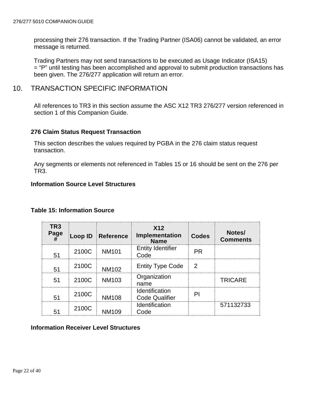processing their 276 transaction. If the Trading Partner (ISA06) cannot be validated, an error message is returned.

Trading Partners may not send transactions to be executed as Usage Indicator (ISA15) = "P" until testing has been accomplished and approval to submit production transactions has been given. The 276/277 application will return an error.

### <span id="page-21-0"></span>10. TRANSACTION SPECIFIC INFORMATION

All references to TR3 in this section assume the ASC X12 TR3 276/277 version referenced in section 1 of this Companion Guide.

#### <span id="page-21-1"></span>**276 Claim Status Request Transaction**

This section describes the values required by PGBA in the 276 claim status request transaction.

Any segments or elements not referenced in Tables 15 or 16 should be sent on the 276 per TR3.

#### <span id="page-21-2"></span>**Information Source Level Structures**

| TR <sub>3</sub><br>Page<br># |       | Loop ID Reference | X <sub>12</sub><br><b>Implementation</b><br><b>Name</b> | <b>Codes</b>  | Notes/<br><b>Comments</b> |
|------------------------------|-------|-------------------|---------------------------------------------------------|---------------|---------------------------|
| 51                           | 2100C | <b>NM101</b>      | <b>Entity Identifier</b><br>Code                        | <b>PR</b>     |                           |
| 51                           | 2100C | <b>NM102</b>      | <b>Entity Type Code</b>                                 | $\mathcal{P}$ |                           |
| 51                           | 2100C | <b>NM103</b>      | Organization<br>name                                    |               | <b>TRICARE</b>            |
| 51                           | 2100C | <b>NM108</b>      | Identification<br><b>Code Qualifier</b>                 | PI            |                           |
| 51                           | 2100C | NM109             | Identification<br>Code                                  |               | 571132733                 |

#### <span id="page-21-3"></span>**Table 15: Information Source**

#### <span id="page-21-4"></span>**Information Receiver Level Structures**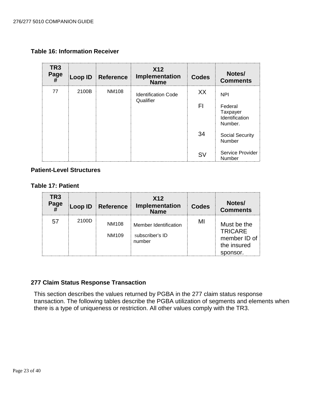<span id="page-22-0"></span>**Table 16: Information Receiver**

| TR <sub>3</sub><br>Page | Loop ID | <b>Reference</b> | <b>X12</b><br>Implementation<br><b>Name</b> | <b>Codes</b> | Notes/<br><b>Comments</b>                        |
|-------------------------|---------|------------------|---------------------------------------------|--------------|--------------------------------------------------|
| 77                      | 2100B   | <b>NM108</b>     | <b>Identification Code</b>                  | XX.          | <b>NPI</b>                                       |
|                         |         |                  | Qualifier                                   | FI           | Federal<br>Taxpayer<br>Identification<br>Number. |
|                         |         |                  |                                             | 34           | <b>Social Security</b><br>Number                 |
|                         |         |                  |                                             | <b>SV</b>    | Service Provider<br>Number                       |

#### <span id="page-22-1"></span>**Patient-Level Structures**

<span id="page-22-2"></span>**Table 17: Patient**

| TR <sub>3</sub><br>Page | Loop ID | Reference      | X <sub>12</sub><br>Implementation<br><b>Name</b>   | <b>Codes</b> | Notes/<br><b>Comments</b>                                                |
|-------------------------|---------|----------------|----------------------------------------------------|--------------|--------------------------------------------------------------------------|
|                         | 2100D   | NM108<br>NM109 | Member Identification<br>subscriber's ID<br>number | MI           | Must be the<br><b>TRICARE</b><br>member ID of<br>the insured<br>sponsor. |

#### <span id="page-22-3"></span>**277 Claim Status Response Transaction**

This section describes the values returned by PGBA in the 277 claim status response transaction. The following tables describe the PGBA utilization of segments and elements when there is a type of uniqueness or restriction. All other values comply with the TR3.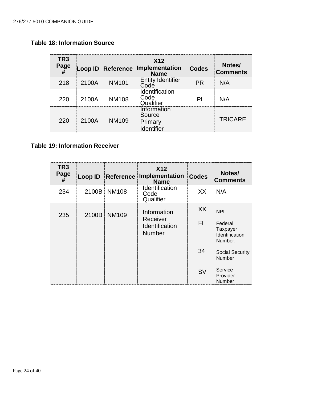# <span id="page-23-0"></span>**Table 18: Information Source**

| TR3<br>Page |       |              | X <sub>12</sub><br>Loop ID Reference Implementation | <b>Codes</b> | Notes/<br><b>Comments</b> |
|-------------|-------|--------------|-----------------------------------------------------|--------------|---------------------------|
| 218         | 2100A | <b>NM101</b> | <b>Entity Identifier</b><br>Code                    | PR.          | N/A                       |
| 220         | 2100A | <b>NM108</b> | Identification<br>Code<br>Qualifier                 | ΡI           | N/A                       |
| 220         | 2100A | <b>NM109</b> | Information<br>Source<br>Primary<br>Identifier      |              | <b>TRICARE</b>            |

# <span id="page-23-1"></span>**Table 19: Information Receiver**

| TR <sub>3</sub><br>Page<br># |       | Loop ID Reference | <b>X12</b><br>Implementation<br><b>Name</b>                       | <b>Codes</b> | Notes/<br><b>Comments</b>                                      |
|------------------------------|-------|-------------------|-------------------------------------------------------------------|--------------|----------------------------------------------------------------|
| 234                          | 2100B | <b>NM108</b>      | <b>Identification</b><br>Code<br>Qualifier                        | XX           | N/A                                                            |
| 235                          | 2100B | <b>NM109</b>      | Information<br>Receiver<br><b>Identification</b><br><b>Number</b> | XX<br>FI.    | <b>NPI</b><br>Federal<br>Taxpayer<br>Identification<br>Number. |
|                              |       |                   |                                                                   | 34           | <b>Social Security</b><br><b>Number</b>                        |
|                              |       |                   |                                                                   | <b>SV</b>    | Service<br>Provider<br><b>Number</b>                           |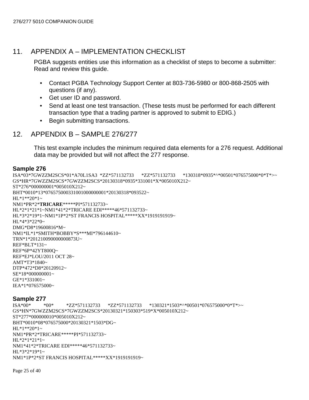### <span id="page-24-0"></span>11. APPENDIX A – IMPLEMENTATION CHECKLIST

GS\*HN\*7GWZZM2SCS\*7GWZZM2SCS\*20130321\*150303\*519\*X\*005010X212~

PGBA suggests entities use this information as a checklist of steps to become a submitter: Read and review this guide.

- Contact PGBA Technology Support Center at 803-736-5980 or 800-868-2505 with questions (if any).
- Get user ID and password.
- Send at least one test transaction. (These tests must be performed for each different transaction type that a trading partner is approved to submit to EDIG.)
- Begin submitting transactions.

#### <span id="page-24-1"></span>12. APPENDIX B – SAMPLE 276/277

This test example includes the minimum required data elements for a 276 request. Additional data may be provided but will not affect the 277 response.

#### **Sample 276**

```
ISA*03*7GWZZM2SCS*01*A70L1SA3 *ZZ*571132733 *ZZ*571132733 *130318*0935*^*00501*076575000*0*T*>~
GS*HR*7GWZZM2SCS*7GWZZM2SCS*20130318*0935*331001*X*005010X212~
ST*276*000000001*005010X212~
BHT*0010*13*076575000331001000000001*20130318*093522~
HL*1**20*1~NM1*PR*2*TRICARE*****PI*571132733~
HL*2*1*21*1~NM1*41*2*TRICARE EDI*****46*571132733~
HL*3*2*19*1~NM1*1P*2*ST FRANCIS HOSPITAL*****XX*1919191919~
HL*4*3*22*0~
DMG*D8*19600816*M~
NM1*IL*1*SMITH*BOBBY*S***MI*796144610~
TRN*1*201210090000000873U~
REF*BLT*131~
REF*6P*42YT800Q~
REF*EJ*LOU/2011 OCT 28~
AMT*T3*1840~
DTP*472*D8*20120912~
SE*18*000000001~
GE*1*331001~
IEA*1*076575000~
Sample 277<br>ISA*00* *00*
                    ZZ*571132733 *ZZ*571132733 *130321*1503*^*00501*076575000*0*T*
```
Page 25 of 40

HL\*1\*\*20\*1~

 $HL*2*1*21*1$ ~

HL\*3\*2\*19\*1~

ST\*277\*000000010\*005010X212~

BHT\*0010\*08\*076575000\*20130321\*1503\*DG~

NM1\*41\*2\*TRICARE EDI\*\*\*\*\*46\*571132733~

NM1\*1P\*2\*ST FRANCIS HOSPITAL\*\*\*\*\*XX\*1919191919~

NM1\*PR\*2\*TRICARE\*\*\*\*\*PI\*571132733~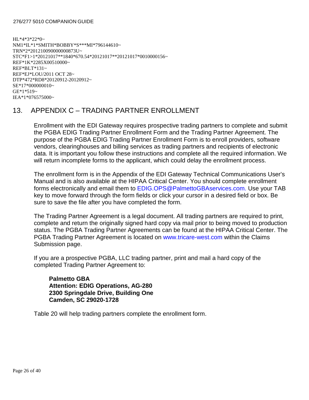HL\*4\*3\*22\*0~ NM1\*IL\*1\*SMITH\*BOBBY\*S\*\*\*MI\*796144610~ TRN\*2\*201210090000000873U~ STC\*F1>1\*20121017\*\*1840\*670.54\*20121017\*\*20121017\*0010000156~ REF\*1K\*2285X00510000~ REF\*BLT\*131~ REF\*EJ\*LOU/2011 OCT 28~ DTP\*472\*RD8\*20120912-20120912~ SE\*17\*000000010~ GE\*1\*519~ IEA\*1\*076575000~

# <span id="page-25-0"></span>13. APPENDIX C – TRADING PARTNER ENROLLMENT

Enrollment with the EDI Gateway requires prospective trading partners to complete and submit the PGBA EDIG Trading Partner Enrollment Form and the Trading Partner Agreement. The purpose of the PGBA EDIG Trading Partner Enrollment Form is to enroll providers, software vendors, clearinghouses and billing services as trading partners and recipients of electronic data. It is important you follow these instructions and complete all the required information. We will return incomplete forms to the applicant, which could delay the enrollment process.

The enrollment form is in the Appendix of the EDI Gateway Technical Communications User's Manual and is also available at the [HIPAA Critical Center.](http://www.hipaacriticalcenter.com/) You should complete enrollment forms electronically and email them to [EDIG.OPS@PalmettoGBAservices.com.](mailto:EDIG.OPS@PalmettoGBAservices.com.) Use your TAB key to move forward through the form fields or click your cursor in a desired field or box. Be sure to save the file after you have completed the form.

The Trading Partner Agreement is a legal document. All trading partners are required to print, complete and return the originally signed hard copy via mail prior to being moved to production status. The PGBA Trading Partner Agreements can be found at the [HIPAA Critical Center.](http://www.hipaacriticalcenter.com/) The PGBA Trading Partner Agreement is located on [www.tricare-west.com](https://www.tricare-west.com/) within the Claims Submission page.

If you are a prospective PGBA, LLC trading partner, print and mail a hard copy of the completed Trading Partner Agreement to:

**Palmetto GBA Attention: EDIG Operations, AG-280 2300 Springdale Drive, Building One Camden, SC 29020-1728**

Table 20 will help trading partners complete the enrollment form.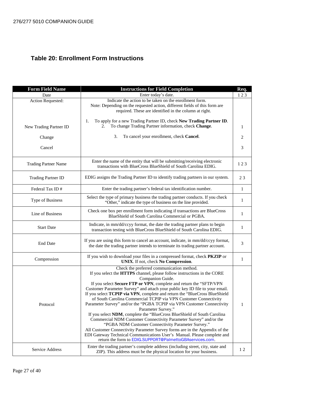# <span id="page-26-0"></span>**Table 20: Enrollment Form Instructions**

| <b>Form Field Name</b>      | <b>Instructions for Field Completion</b>                                                                                                                           |              |  |
|-----------------------------|--------------------------------------------------------------------------------------------------------------------------------------------------------------------|--------------|--|
| Date                        | Enter today's date.                                                                                                                                                | Req.<br>123  |  |
| Action Requested:           | Indicate the action to be taken on the enrollment form.                                                                                                            |              |  |
|                             | Note: Depending on the requested action, different fields of this form are                                                                                         |              |  |
|                             | required. These are identified in the column at right.                                                                                                             |              |  |
|                             | To apply for a new Trading Partner ID, check New Trading Partner ID.<br>1.                                                                                         |              |  |
| New Trading Partner ID      | To change Trading Partner information, check Change.<br>2.                                                                                                         | $\mathbf{1}$ |  |
|                             |                                                                                                                                                                    |              |  |
| Change                      | 3.<br>To cancel your enrollment, check Cancel.                                                                                                                     | 2            |  |
| Cancel                      |                                                                                                                                                                    | 3            |  |
|                             |                                                                                                                                                                    |              |  |
|                             | Enter the name of the entity that will be submitting/receiving electronic                                                                                          |              |  |
| <b>Trading Partner Name</b> | transactions with BlueCross BlueShield of South Carolina EDIG.                                                                                                     | 123          |  |
|                             |                                                                                                                                                                    |              |  |
| <b>Trading Partner ID</b>   | EDIG assigns the Trading Partner ID to identify trading partners in our system.                                                                                    | 23           |  |
|                             |                                                                                                                                                                    |              |  |
| Federal Tax ID#             | Enter the trading partner's federal tax identification number.                                                                                                     | 1            |  |
| Type of Business            | Select the type of primary business the trading partner conducts. If you check                                                                                     | 1            |  |
|                             | "Other," indicate the type of business on the line provided.                                                                                                       |              |  |
|                             | Check one box per enrollment form indicating if transactions are BlueCross                                                                                         |              |  |
| Line of Business            | BlueShield of South Carolina Commercial or PGBA.                                                                                                                   | 1            |  |
|                             | Indicate, in mm/dd/ccyy format, the date the trading partner plans to begin                                                                                        |              |  |
| <b>Start Date</b>           | transaction testing with BlueCross BlueShield of South Carolina EDIG.                                                                                              | 1            |  |
|                             |                                                                                                                                                                    |              |  |
| <b>End Date</b>             | If you are using this form to cancel an account, indicate, in mm/dd/ccyy format,<br>the date the trading partner intends to terminate its trading partner account. | 3            |  |
|                             |                                                                                                                                                                    |              |  |
|                             | If you wish to download your files in a compressed format, check <b>PKZIP</b> or                                                                                   |              |  |
| Compression                 | UNIX. If not, check No Compression.                                                                                                                                | $\mathbf{1}$ |  |
|                             | Check the preferred communication method.                                                                                                                          |              |  |
|                             | If you select the HTTPS channel, please follow instructions in the CORE<br>Companion Guide.                                                                        |              |  |
|                             | If you select Secure FTP or VPN, complete and return the "SFTP/VPN                                                                                                 |              |  |
|                             | Customer Parameter Survey" and attach your public key ID file to your email.                                                                                       |              |  |
|                             | If you select TCPIP via VPN, complete and return the "BlueCross BlueShield                                                                                         |              |  |
|                             | of South Carolina Commercial TCPIP via VPN Customer Connectivity                                                                                                   |              |  |
| Protocol                    | Parameter Survey" and/or the "PGBA TCPIP via VPN Customer Connectivity                                                                                             | 1            |  |
|                             | Parameter Survey."<br>If you select NDM, complete the "BlueCross BlueShield of South Carolina                                                                      |              |  |
|                             | Commercial NDM Customer Connectivity Parameter Survey" and/or the                                                                                                  |              |  |
|                             | "PGBA NDM Customer Connectivity Parameter Survey."                                                                                                                 |              |  |
|                             | All Customer Connectivity Parameter Survey forms are in the Appendix of the                                                                                        |              |  |
|                             | EDI Gateway Technical Communications User's Manual. Please complete and                                                                                            |              |  |
|                             | return the form to EDIG.SUPPORT@PalmettoGBAservices.com.                                                                                                           |              |  |
| Service Address             | Enter the trading partner's complete address (including street, city, state and                                                                                    | 12           |  |
|                             | ZIP). This address must be the physical location for your business.                                                                                                |              |  |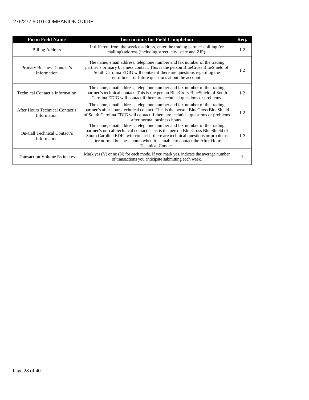| <b>Form Field Name</b>                                                                                                                                                | <b>Instructions for Field Completion</b>                                                                                                                                                                                                                                                                                                             |    |
|-----------------------------------------------------------------------------------------------------------------------------------------------------------------------|------------------------------------------------------------------------------------------------------------------------------------------------------------------------------------------------------------------------------------------------------------------------------------------------------------------------------------------------------|----|
| If different from the service address, enter the trading partner's billing (or<br><b>Billing Address</b><br>mailing) address (including street, city, state and ZIP). |                                                                                                                                                                                                                                                                                                                                                      | 12 |
| Primary Business Contact's<br>Information                                                                                                                             | The name, email address, telephone number and fax number of the trading<br>partner's primary business contact. This is the person BlueCross BlueShield of<br>South Carolina EDIG will contact if there are questions regarding the<br>enrollment or future questions about the account.                                                              | 12 |
| <b>Technical Contact's Information</b>                                                                                                                                | The name, email address, telephone number and fax number of the trading<br>partner's technical contact. This is the person BlueCross BlueShield of South<br>Carolina EDIG will contact if there are technical questions or problems.                                                                                                                 | 12 |
| After Hours Technical Contact's<br>Information                                                                                                                        | The name, email address, telephone number and fax number of the trading<br>partner's after hours technical contact. This is the person BlueCross BlueShield<br>of South Carolina EDIG will contact if there are technical questions or problems<br>after normal business hours.                                                                      | 12 |
| <b>On-Call Technical Contact's</b><br>Information                                                                                                                     | The name, email address, telephone number and fax number of the trading<br>partner's on-call technical contact. This is the person BlueCross BlueShield of<br>South Carolina EDIG will contact if there are technical questions or problems<br>after normal business hours when it is unable to contact the After Hours<br><b>Technical Contact.</b> | 12 |
| <b>Transaction Volume Estimates</b>                                                                                                                                   | Mark yes $(Y)$ or no $(N)$ for each mode. If you mark yes, indicate the average number<br>of transactions you anticipate submitting each week.                                                                                                                                                                                                       |    |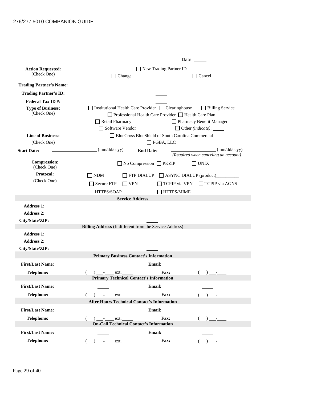|                                | Date:                                                                                                   |
|--------------------------------|---------------------------------------------------------------------------------------------------------|
| <b>Action Requested:</b>       | New Trading Partner ID                                                                                  |
| (Check One)                    | $\Box$ Change<br>$\exists$ Cancel                                                                       |
| <b>Trading Partner's Name:</b> |                                                                                                         |
| <b>Trading Partner's ID:</b>   |                                                                                                         |
| <b>Federal Tax ID#:</b>        |                                                                                                         |
| <b>Type of Business:</b>       | Institutional Health Care Provider □ Clearinghouse<br>$\Box$ Billing Service                            |
| (Check One)                    | □ Professional Health Care Provider □ Health Care Plan                                                  |
|                                | Retail Pharmacy<br>Pharmacy Benefit Manager                                                             |
| <b>Line of Business:</b>       | Software Vendor<br>$\Box$ Other (indicate): $\Box$<br>BlueCross BlueShield of South Carolina Commercial |
| (Check One)                    | $\Box$ PGBA, LLC                                                                                        |
| <b>Start Date:</b>             | (mm/dd/ccyy)<br>$\text{(mm/dd/ccyy)}$<br><b>End Date:</b>                                               |
|                                | (Required when canceling an account)                                                                    |
| <b>Compression:</b>            | $\Box$ No Compression $\Box$ PKZIP<br>$\sqcap$ UNIX                                                     |
| (Check One)<br>Protocol:       |                                                                                                         |
| (Check One)                    | <b>NDM</b><br>FTP DIALUP<br>ASYNC DIALUP (product)                                                      |
|                                | <b>Secure FTP</b><br>$\Box$ VPN<br>TCPIP via VPN<br>$\Box$ TCPIP via AGNS                               |
|                                | HTTPS/SOAP<br>HTTPS/MIME                                                                                |
| <b>Address 1:</b>              | <b>Service Address</b>                                                                                  |
| <b>Address 2:</b>              |                                                                                                         |
| City/State/ZIP:                |                                                                                                         |
|                                | Billing Address (If different from the Service Address)                                                 |
| <b>Address 1:</b>              |                                                                                                         |
| <b>Address 2:</b>              |                                                                                                         |
| City/State/ZIP:                |                                                                                                         |
|                                | <b>Primary Business Contact's Information</b>                                                           |
| <b>First/Last Name:</b>        | Email:                                                                                                  |
| <b>Telephone:</b>              | $)$ - ext.<br><b>Fax:</b>                                                                               |
|                                | <b>Primary Technical Contact's Information</b>                                                          |
| <b>First/Last Name:</b>        | <b>Email:</b>                                                                                           |
| Telephone:                     | Fax:<br>$( )$ -<br>$( )$ $ ext.$                                                                        |
|                                | <b>After Hours Technical Contact's Information</b>                                                      |
| <b>First/Last Name:</b>        | <b>Email:</b>                                                                                           |
| Telephone:                     | Fax:<br>$(+)$ -<br>€<br>$)$ - ext.                                                                      |
|                                | <b>On-Call Technical Contact's Information</b>                                                          |
| <b>First/Last Name:</b>        | Email:                                                                                                  |
| Telephone:                     | Fax:<br>$\sqrt{2}$<br>) __________ ext.<br>$\left($                                                     |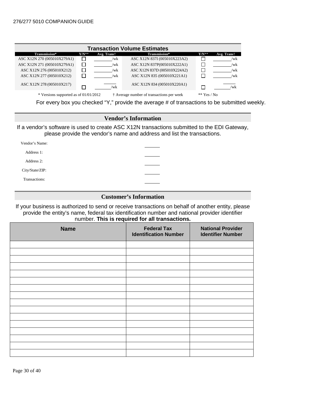| <b>Transaction Volume Estimates</b>                                                                   |         |             |                              |         |             |
|-------------------------------------------------------------------------------------------------------|---------|-------------|------------------------------|---------|-------------|
| <b>Transmission*</b>                                                                                  | $Y/N^*$ | Avg. Trans† | Transmission*                | $Y/N^*$ | Avg. Trans† |
| ASC X12N 270 (005010X279A1)                                                                           |         | /wk         | ASC X12N 837I (005010X223A2) |         | /wk         |
| ASC X12N 271 (005010X279A1)                                                                           |         | /wk         | ASC X12N 837P(005010X222A1)  |         | /wk         |
| ASC X12N 276 (005010X212)                                                                             |         | /wk         | ASC X12N 837D (005010X224A2) |         | /wk         |
| ASC X12N 277 (005010X212)                                                                             |         | /wk         | ASC X12N 835 (005010X221A1)  |         | /wk         |
| ASC X12N 278 (005010X217)                                                                             |         | /wk         | ASC X12N 834 (005010X220A1)  |         | /wk         |
| * Versions supported as of $01/01/2012$<br>† Average number of transactions per week<br>$**$ Yes / No |         |             |                              |         |             |

For every box you checked "Y," provide the average # of transactions to be submitted weekly.

#### **Vendor's Information**

If a vendor's software is used to create ASC X12N transactions submitted to the EDI Gateway, please provide the vendor's name and address and list the transactions.

| Vendor's Name:  |  |
|-----------------|--|
| Address 1:      |  |
| Address 2:      |  |
| City/State/ZIP: |  |
| Transactions:   |  |
|                 |  |

#### **Customer's Information**

If your business is authorized to send or receive transactions on behalf of another entity, please provide the entity's name, federal tax identification number and national provider identifier number. **This is required for all transactions.**

| <b>Name</b> | <b>Federal Tax</b><br><b>Identification Number</b> | <b>National Provider</b><br><b>Identifier Number</b> |
|-------------|----------------------------------------------------|------------------------------------------------------|
|             |                                                    |                                                      |
|             |                                                    |                                                      |
|             |                                                    |                                                      |
|             |                                                    |                                                      |
|             |                                                    |                                                      |
|             |                                                    |                                                      |
|             |                                                    |                                                      |
|             |                                                    |                                                      |
|             |                                                    |                                                      |
|             |                                                    |                                                      |
|             |                                                    |                                                      |
|             |                                                    |                                                      |
|             |                                                    |                                                      |
|             |                                                    |                                                      |
|             |                                                    |                                                      |
|             |                                                    |                                                      |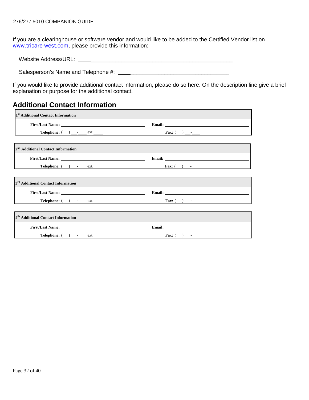If you are a clearinghouse or software vendor and would like to be added to the Certified Vendor list on [www.tricare-west.com](https://www.tricare-west.com/), please provide this information:

| Website Address/URL. |
|----------------------|
|                      |

Salesperson's Name and Telephone #: \_\_\_\_\_\_\_\_\_\_\_\_\_\_\_\_\_\_\_\_\_\_\_\_\_\_\_\_\_\_\_\_

If you would like to provide additional contact information, please do so here. On the description line give a brief explanation or purpose for the additional contact.

 $\overline{\mathbf{r}}$ 

# **Additional Contact Information**

| <sup>1st</sup> Additional Contact Information                                                                                                                                                                                            |                                                                                                                                                                                                                                      |
|------------------------------------------------------------------------------------------------------------------------------------------------------------------------------------------------------------------------------------------|--------------------------------------------------------------------------------------------------------------------------------------------------------------------------------------------------------------------------------------|
|                                                                                                                                                                                                                                          | Email: <u>Email:</u> All and the second second second second second second second second second second second second second second second second second second second second second second second second second second second secon  |
|                                                                                                                                                                                                                                          |                                                                                                                                                                                                                                      |
|                                                                                                                                                                                                                                          |                                                                                                                                                                                                                                      |
| <sup>2nd</sup> Additional Contact Information                                                                                                                                                                                            |                                                                                                                                                                                                                                      |
|                                                                                                                                                                                                                                          |                                                                                                                                                                                                                                      |
| <b>Telephone:</b> ( ) _____ ext. ____ <b>ext. The set of the set of the set of the set of the set of the set of the set of the set of the set of the set of the set of the set of the set of the set of the set of the set of the se</b> |                                                                                                                                                                                                                                      |
| <u> 1989 - Andrea Andrews, Amerikaansk politik (* 1958)</u>                                                                                                                                                                              |                                                                                                                                                                                                                                      |
| 3 <sup>rd</sup> Additional Contact Information                                                                                                                                                                                           |                                                                                                                                                                                                                                      |
|                                                                                                                                                                                                                                          | Email: <u>contract and the contract of the contract of the contract of the contract of the contract of the contract of the contract of the contract of the contract of the contract of the contract of the contract of the contr</u> |
| <b>Telephone:</b> $\qquad \qquad$ <u>____</u> _____ ext. ______                                                                                                                                                                          |                                                                                                                                                                                                                                      |
|                                                                                                                                                                                                                                          |                                                                                                                                                                                                                                      |
| <sup>4th</sup> Additional Contact Information                                                                                                                                                                                            |                                                                                                                                                                                                                                      |
|                                                                                                                                                                                                                                          |                                                                                                                                                                                                                                      |
| <b>Telephone:</b> ( ) _____ ext. _____ <b>ext. The set of the set of the set of the set of the set of the set of the set of the set of the set of the set of the set of the set of the set of the set of the set of the set of the s</b> |                                                                                                                                                                                                                                      |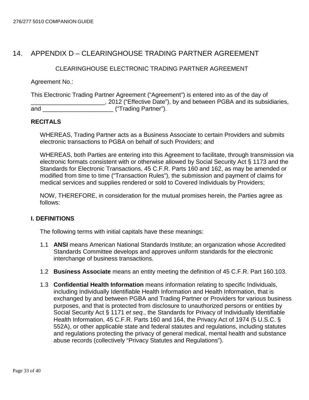# <span id="page-32-0"></span>14. APPENDIX D – CLEARINGHOUSE TRADING PARTNER AGREEMENT

#### CLEARINGHOUSE ELECTRONIC TRADING PARTNER AGREEMENT

Agreement No.:

This Electronic Trading Partner Agreement ("Agreement") is entered into as of the day of **EXALGE 2012** ("Effective Date"), by and between PGBA and its subsidiaries, and  $($ "Trading Partner").

#### **RECITALS**

WHEREAS, Trading Partner acts as a Business Associate to certain Providers and submits electronic transactions to PGBA on behalf of such Providers; and

WHEREAS, both Parties are entering into this Agreement to facilitate, through transmission via electronic formats consistent with or otherwise allowed by Social Security Act § 1173 and the Standards for Electronic Transactions, 45 C.F.R. Parts 160 and 162, as may be amended or modified from time to time ("Transaction Rules"), the submission and payment of claims for medical services and supplies rendered or sold to Covered Individuals by Providers;

NOW, THEREFORE, in consideration for the mutual promises herein, the Parties agree as follows:

#### **I. DEFINITIONS**

The following terms with initial capitals have these meanings:

- 1.1 **ANSI** means American National Standards Institute; an organization whose Accredited Standards Committee develops and approves uniform standards for the electronic interchange of business transactions.
- 1.2 **Business Associate** means an entity meeting the definition of 45 C.F.R. Part 160.103.
- 1.3 **Confidential Health Information** means information relating to specific Individuals, including Individually Identifiable Health Information and Health Information, that is exchanged by and between PGBA and Trading Partner or Providers for various business purposes, and that is protected from disclosure to unauthorized persons or entities by Social Security Act § 1171 *et seq.*, the Standards for Privacy of Individually Identifiable Health Information, 45 C.F.R. Parts 160 and 164, the Privacy Act of 1974 (5 U.S.C. § 552A), or other applicable state and federal statutes and regulations, including statutes and regulations protecting the privacy of general medical, mental health and substance abuse records (collectively "Privacy Statutes and Regulations").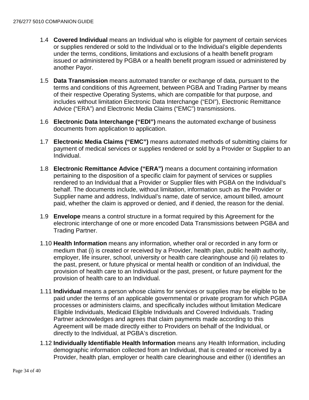- 1.4 **Covered Individual** means an Individual who is eligible for payment of certain services or supplies rendered or sold to the Individual or to the Individual's eligible dependents under the terms, conditions, limitations and exclusions of a health benefit program issued or administered by PGBA or a health benefit program issued or administered by another Payor.
- 1.5 **Data Transmission** means automated transfer or exchange of data, pursuant to the terms and conditions of this Agreement, between PGBA and Trading Partner by means of their respective Operating Systems, which are compatible for that purpose, and includes without limitation Electronic Data Interchange ("EDI"), Electronic Remittance Advice ("ERA") and Electronic Media Claims ("EMC") transmissions.
- 1.6 **Electronic Data Interchange ("EDI")** means the automated exchange of business documents from application to application.
- 1.7 **Electronic Media Claims ("EMC")** means automated methods of submitting claims for payment of medical services or supplies rendered or sold by a Provider or Supplier to an Individual.
- 1.8 **Electronic Remittance Advice ("ERA")** means a document containing information pertaining to the disposition of a specific claim for payment of services or supplies rendered to an Individual that a Provider or Supplier files with PGBA on the Individual's behalf. The documents include, without limitation, information such as the Provider or Supplier name and address, Individual's name, date of service, amount billed, amount paid, whether the claim is approved or denied, and if denied, the reason for the denial.
- 1.9 **Envelope** means a control structure in a format required by this Agreement for the electronic interchange of one or more encoded Data Transmissions between PGBA and Trading Partner.
- 1.10 **Health Information** means any information, whether oral or recorded in any form or medium that (i) is created or received by a Provider, health plan, public health authority, employer, life insurer, school, university or health care clearinghouse and (ii) relates to the past, present, or future physical or mental health or condition of an Individual, the provision of health care to an Individual or the past, present, or future payment for the provision of health care to an Individual.
- 1.11 **Individual** means a person whose claims for services or supplies may be eligible to be paid under the terms of an applicable governmental or private program for which PGBA processes or administers claims, and specifically includes without limitation Medicare Eligible Individuals, Medicaid Eligible Individuals and Covered Individuals. Trading Partner acknowledges and agrees that claim payments made according to this Agreement will be made directly either to Providers on behalf of the Individual, or directly to the Individual, at PGBA's discretion.
- 1.12 **Individually Identifiable Health Information** means any Health Information, including demographic information collected from an Individual, that is created or received by a Provider, health plan, employer or health care clearinghouse and either (i) identifies an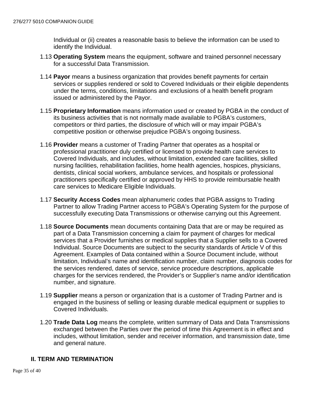Individual or (ii) creates a reasonable basis to believe the information can be used to identify the Individual.

- 1.13 **Operating System** means the equipment, software and trained personnel necessary for a successful Data Transmission.
- 1.14 **Payor** means a business organization that provides benefit payments for certain services or supplies rendered or sold to Covered Individuals or their eligible dependents under the terms, conditions, limitations and exclusions of a health benefit program issued or administered by the Payor.
- 1.15 **Proprietary Information** means information used or created by PGBA in the conduct of its business activities that is not normally made available to PGBA's customers, competitors or third parties, the disclosure of which will or may impair PGBA's competitive position or otherwise prejudice PGBA's ongoing business.
- 1.16 **Provider** means a customer of Trading Partner that operates as a hospital or professional practitioner duly certified or licensed to provide health care services to Covered Individuals, and includes, without limitation, extended care facilities, skilled nursing facilities, rehabilitation facilities, home health agencies, hospices, physicians, dentists, clinical social workers, ambulance services, and hospitals or professional practitioners specifically certified or approved by HHS to provide reimbursable health care services to Medicare Eligible Individuals.
- 1.17 **Security Access Codes** mean alphanumeric codes that PGBA assigns to Trading Partner to allow Trading Partner access to PGBA's Operating System for the purpose of successfully executing Data Transmissions or otherwise carrying out this Agreement.
- 1.18 **Source Documents** mean documents containing Data that are or may be required as part of a Data Transmission concerning a claim for payment of charges for medical services that a Provider furnishes or medical supplies that a Supplier sells to a Covered Individual. Source Documents are subject to the security standards of Article V of this Agreement. Examples of Data contained within a Source Document include, without limitation, Individual's name and identification number, claim number, diagnosis codes for the services rendered, dates of service, service procedure descriptions, applicable charges for the services rendered, the Provider's or Supplier's name and/or identification number, and signature.
- 1.19 **Supplier** means a person or organization that is a customer of Trading Partner and is engaged in the business of selling or leasing durable medical equipment or supplies to Covered Individuals.
- 1.20 **Trade Data Log** means the complete, written summary of Data and Data Transmissions exchanged between the Parties over the period of time this Agreement is in effect and includes, without limitation, sender and receiver information, and transmission date, time and general nature.

#### **II. TERM AND TERMINATION**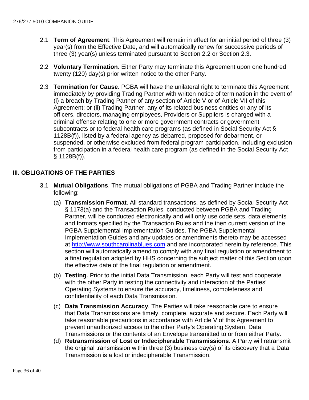- 2.1 **Term of Agreement**. This Agreement will remain in effect for an initial period of three (3) year(s) from the Effective Date, and will automatically renew for successive periods of three (3) year(s) unless terminated pursuant to Section 2.2 or Section 2.3.
- 2.2 **Voluntary Termination**. Either Party may terminate this Agreement upon one hundred twenty (120) day(s) prior written notice to the other Party.
- 2.3 **Termination for Cause**. PGBA will have the unilateral right to terminate this Agreement immediately by providing Trading Partner with written notice of termination in the event of (i) a breach by Trading Partner of any section of Article V or of Article VII of this Agreement; or (ii) Trading Partner, any of its related business entities or any of its officers, directors, managing employees, Providers or Suppliers is charged with a criminal offense relating to one or more government contracts or government subcontracts or to federal health care programs (as defined in Social Security Act § 1128B(f)), listed by a federal agency as debarred, proposed for debarment, or suspended, or otherwise excluded from federal program participation, including exclusion from participation in a federal health care program (as defined in the Social Security Act § 1128B(f)).

#### **III. OBLIGATIONS OF THE PARTIES**

- 3.1 **Mutual Obligations**. The mutual obligations of PGBA and Trading Partner include the following:
	- (a) **Transmission Format**. All standard transactions, as defined by Social Security Act § 1173(a) and the Transaction Rules, conducted between PGBA and Trading Partner, will be conducted electronically and will only use code sets, data elements and formats specified by the Transaction Rules and the then current version of the PGBA Supplemental Implementation Guides. The PGBA Supplemental Implementation Guides and any updates or amendments thereto may be accessed at [http://www.southcarolinablues.com](http://www.southcarolinablues.com/) and are incorporated herein by reference. This section will automatically amend to comply with any final regulation or amendment to a final regulation adopted by HHS concerning the subject matter of this Section upon the effective date of the final regulation or amendment.
	- (b) **Testing**. Prior to the initial Data Transmission, each Party will test and cooperate with the other Party in testing the connectivity and interaction of the Parties' Operating Systems to ensure the accuracy, timeliness, completeness and confidentiality of each Data Transmission.
	- (c) **Data Transmission Accuracy**. The Parties will take reasonable care to ensure that Data Transmissions are timely, complete, accurate and secure. Each Party will take reasonable precautions in accordance with Article V of this Agreement to prevent unauthorized access to the other Party's Operating System, Data Transmissions or the contents of an Envelope transmitted to or from either Party.
	- (d) **Retransmission of Lost or Indecipherable Transmissions**. A Party will retransmit the original transmission within three (3) business day(s) of its discovery that a Data Transmission is a lost or indecipherable Transmission.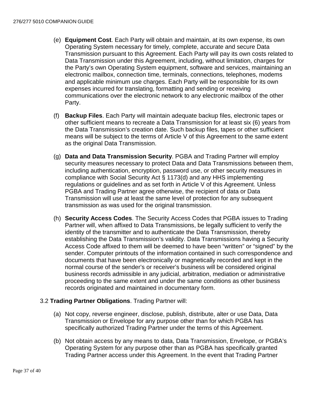- (e) **Equipment Cost**. Each Party will obtain and maintain, at its own expense, its own Operating System necessary for timely, complete, accurate and secure Data Transmission pursuant to this Agreement. Each Party will pay its own costs related to Data Transmission under this Agreement, including, without limitation, charges for the Party's own Operating System equipment, software and services, maintaining an electronic mailbox, connection time, terminals, connections, telephones, modems and applicable minimum use charges. Each Party will be responsible for its own expenses incurred for translating, formatting and sending or receiving communications over the electronic network to any electronic mailbox of the other Party.
- (f) **Backup Files**. Each Party will maintain adequate backup files, electronic tapes or other sufficient means to recreate a Data Transmission for at least six (6) years from the Data Transmission's creation date. Such backup files, tapes or other sufficient means will be subject to the terms of Article V of this Agreement to the same extent as the original Data Transmission.
- (g) **Data and Data Transmission Security**. PGBA and Trading Partner will employ security measures necessary to protect Data and Data Transmissions between them, including authentication, encryption, password use, or other security measures in compliance with Social Security Act § 1173(d) and any HHS implementing regulations or guidelines and as set forth in Article V of this Agreement. Unless PGBA and Trading Partner agree otherwise, the recipient of data or Data Transmission will use at least the same level of protection for any subsequent transmission as was used for the original transmission.
- (h) **Security Access Codes**. The Security Access Codes that PGBA issues to Trading Partner will, when affixed to Data Transmissions, be legally sufficient to verify the identity of the transmitter and to authenticate the Data Transmission, thereby establishing the Data Transmission's validity. Data Transmissions having a Security Access Code affixed to them will be deemed to have been "written" or "signed" by the sender. Computer printouts of the information contained in such correspondence and documents that have been electronically or magnetically recorded and kept in the normal course of the sender's or receiver's business will be considered original business records admissible in any judicial, arbitration, mediation or administrative proceeding to the same extent and under the same conditions as other business records originated and maintained in documentary form.

#### 3.2 **Trading Partner Obligations**. Trading Partner will:

- (a) Not copy, reverse engineer, disclose, publish, distribute, alter or use Data, Data Transmission or Envelope for any purpose other than for which PGBA has specifically authorized Trading Partner under the terms of this Agreement.
- (b) Not obtain access by any means to data, Data Transmission, Envelope, or PGBA's Operating System for any purpose other than as PGBA has specifically granted Trading Partner access under this Agreement. In the event that Trading Partner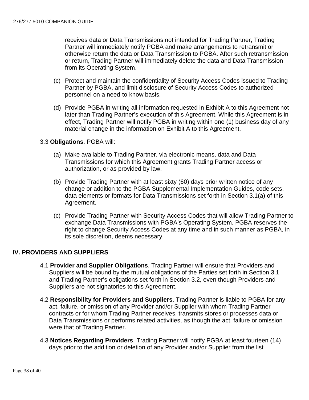receives data or Data Transmissions not intended for Trading Partner, Trading Partner will immediately notify PGBA and make arrangements to retransmit or otherwise return the data or Data Transmission to PGBA. After such retransmission or return, Trading Partner will immediately delete the data and Data Transmission from its Operating System.

- (c) Protect and maintain the confidentiality of Security Access Codes issued to Trading Partner by PGBA, and limit disclosure of Security Access Codes to authorized personnel on a need-to-know basis.
- (d) Provide PGBA in writing all information requested in Exhibit A to this Agreement not later than Trading Partner's execution of this Agreement. While this Agreement is in effect, Trading Partner will notify PGBA in writing within one (1) business day of any material change in the information on Exhibit A to this Agreement.

#### 3.3 **Obligations**. PGBA will:

- (a) Make available to Trading Partner, via electronic means, data and Data Transmissions for which this Agreement grants Trading Partner access or authorization, or as provided by law.
- (b) Provide Trading Partner with at least sixty (60) days prior written notice of any change or addition to the PGBA Supplemental Implementation Guides, code sets, data elements or formats for Data Transmissions set forth in Section 3.1(a) of this Agreement.
- (c) Provide Trading Partner with Security Access Codes that will allow Trading Partner to exchange Data Transmissions with PGBA's Operating System. PGBA reserves the right to change Security Access Codes at any time and in such manner as PGBA, in its sole discretion, deems necessary.

#### **IV. PROVIDERS AND SUPPLIERS**

- 4.1 **Provider and Supplier Obligations**. Trading Partner will ensure that Providers and Suppliers will be bound by the mutual obligations of the Parties set forth in Section 3.1 and Trading Partner's obligations set forth in Section 3.2, even though Providers and Suppliers are not signatories to this Agreement.
- 4.2 **Responsibility for Providers and Suppliers**. Trading Partner is liable to PGBA for any act, failure, or omission of any Provider and/or Supplier with whom Trading Partner contracts or for whom Trading Partner receives, transmits stores or processes data or Data Transmissions or performs related activities, as though the act, failure or omission were that of Trading Partner.
- 4.3 **Notices Regarding Providers**. Trading Partner will notify PGBA at least fourteen (14) days prior to the addition or deletion of any Provider and/or Supplier from the list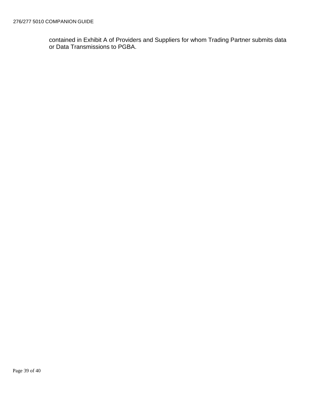contained in Exhibit A of Providers and Suppliers for whom Trading Partner submits data or Data Transmissions to PGBA.